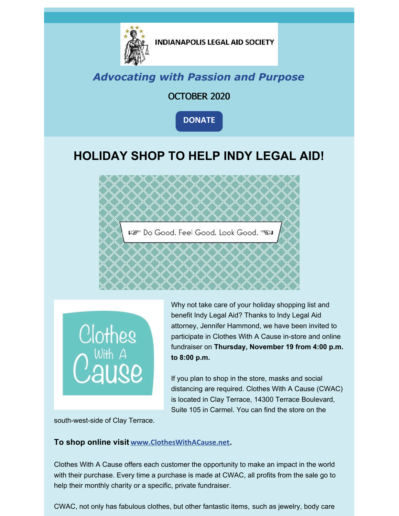

**INDIANAPOLIS LEGAL AID SOCIETY** 

### *Advocating with Passion and Purpose*

#### OCTOBER 2020

**[DONATE](https://www.indylas.org/support-legal-aid)**

## **HOLIDAY SHOP TO HELP INDY LEGAL AID!**



Clothes<br>Cause

Why not take care of your holiday shopping list and benefit Indy Legal Aid? Thanks to Indy Legal Aid attorney, Jennifer Hammond, we have been invited to participate in Clothes With A Cause in-store and online fundraiser on **Thursday, November 19 from 4:00 p.m. to 8:00 p.m.**

If you plan to shop in the store, masks and social distancing are required. Clothes With A Cause (CWAC) is located in Clay Terrace, 14300 Terrace Boulevard, Suite 105 in Carmel. You can find the store on the

south-west-side of Clay Terrace.

#### **To shop online visit [www.ClothesWithACause.net](http://www.clotheswithacause.net).**

Clothes With A Cause offers each customer the opportunity to make an impact in the world with their purchase. Every time a purchase is made at CWAC, all profits from the sale go to help their monthly charity or a specific, private fundraiser.

CWAC, not only has fabulous clothes, but other fantastic items, such as jewelry, body care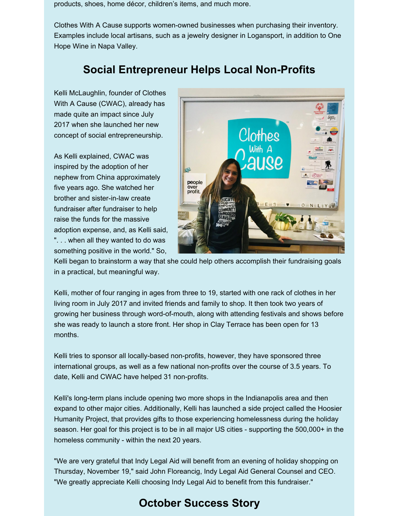products, shoes, home décor, children's items, and much more.

Clothes With A Cause supports women-owned businesses when purchasing their inventory. Examples include local artisans, such as a jewelry designer in Logansport, in addition to One Hope Wine in Napa Valley.

### **Social Entrepreneur Helps Local Non-Profits**

Kelli McLaughlin, founder of Clothes With A Cause (CWAC), already has made quite an impact since July 2017 when she launched her new concept of social entrepreneurship.

As Kelli explained, CWAC was inspired by the adoption of her nephew from China approximately five years ago. She watched her brother and sister-in-law create fundraiser after fundraiser to help raise the funds for the massive adoption expense, and, as Kelli said, ". . . when all they wanted to do was something positive in the world." So,



Kelli began to brainstorm a way that she could help others accomplish their fundraising goals in a practical, but meaningful way.

Kelli, mother of four ranging in ages from three to 19, started with one rack of clothes in her living room in July 2017 and invited friends and family to shop. It then took two years of growing her business through word-of-mouth, along with attending festivals and shows before she was ready to launch a store front. Her shop in Clay Terrace has been open for 13 months.

Kelli tries to sponsor all locally-based non-profits, however, they have sponsored three international groups, as well as a few national non-profits over the course of 3.5 years. To date, Kelli and CWAC have helped 31 non-profits.

Kelli's long-term plans include opening two more shops in the Indianapolis area and then expand to other major cities. Additionally, Kelli has launched a side project called the Hoosier Humanity Project, that provides gifts to those experiencing homelessness during the holiday season. Her goal for this project is to be in all major US cities - supporting the 500,000+ in the homeless community - within the next 20 years.

"We are very grateful that Indy Legal Aid will benefit from an evening of holiday shopping on Thursday, November 19," said John Floreancig, Indy Legal Aid General Counsel and CEO. "We greatly appreciate Kelli choosing Indy Legal Aid to benefit from this fundraiser."

## **October Success Story**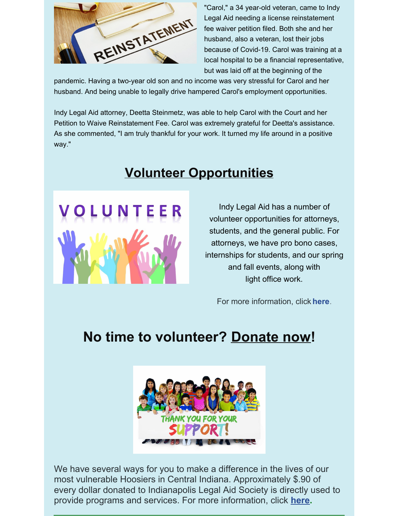

"Carol," a 34 year-old veteran, came to Indy Legal Aid needing a license reinstatement fee waiver petition filed. Both she and her husband, also a veteran, lost their jobs because of Covid-19. Carol was training at a local hospital to be a financial representative, but was laid off at the beginning of the

pandemic. Having a two-year old son and no income was very stressful for Carol and her husband. And being unable to legally drive hampered Carol's employment opportunities.

Indy Legal Aid attorney, Deetta Steinmetz, was able to help Carol with the Court and her Petition to Waive Reinstatement Fee. Carol was extremely grateful for Deetta's assistance. As she commented, "I am truly thankful for your work. It turned my life around in a positive way."

## **Volunteer Opportunities**



Indy Legal Aid has a number of volunteer opportunities for attorneys, students, and the general public. For attorneys, we have pro bono cases, internships for students, and our spring and fall events, along with light office work.

For more information, click **[here](https://www.indylas.org/volunteering)**[.](https://www.indylas.org/volunteering)

# **No time to volunteer? [Donate](https://interland3.donorperfect.net/weblink/weblink.aspx?name=E5192&id=1) now!**



We have several ways for you to make a difference in the lives of our most vulnerable Hoosiers in Central Indiana. Approximately \$.90 of every dollar donated to Indianapolis Legal Aid Society is directly used to provide programs and services. For more information, click **[here](https://www.indylas.org/support-legal-aid).**